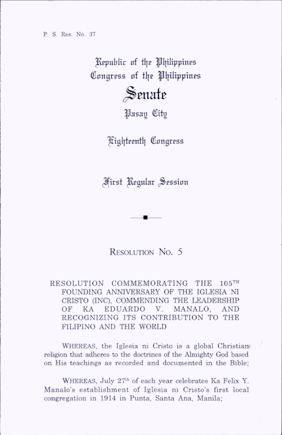P. S. Res. No. 37

Republic of the Philippines Congress of the Philippines

## $\mathcal S$ enate

Pasay City

'^igl|tpentl| Congress

(^irst l^gnlar .Session

## Resolution No. 5

RESOLUTION COMMEMORATING THE 105™ FOUNDING ANNIVERSARY OF THE IGLESIA NI CRISTO aNC), COMMENDING THE LEADERSHIP OF KA EDUARDO V. MANALO, AND RECOGNIZING ITS CONTRIBUTION TO THE FILIPINO AND THE WORLD

WHEREAS, the Iglesia ni Cristo is a global Christian religion that adheres to the doctrines of the Almighty God based on His teachings as recorded and documented in the Bible;

WHEREAS, July 27<sup>th</sup> of each year celebrates Ka Felix Y. Manalo's establishment of Iglesia ni Cristo's first local congregation in 1914 in Punta, Santa Ana, Manila;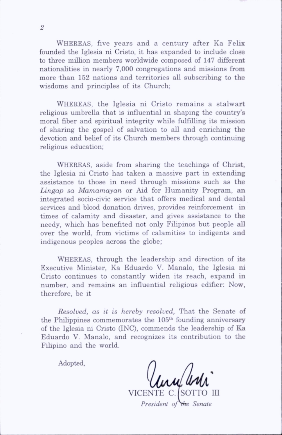WHEREAS, five years and a century after Ka Felix founded the Iglesia ni Cristo, it has expanded to include close to three million members worldwide composed of 147 different nationahties in nearly 7,000 congregations and missions from more than 152 nations and territories all subscribing to the wisdoms and principles of its Church;

WHEREAS, the Iglesia ni Cristo remains a stalwart religious umbrella that is influential in shaping the country's moral fiber and spiritual integrity while fulfilling its mission of sharing the gospel of salvation to all and enriching the devotion and behef of its Church members through continuing religious education;

WHEREAS, aside from sharing the teachings of Christ, the Iglesia ni Cristo has taken a massive part in extending assistance to those in need through missions such as the Lingap sa Mamamayan or Aid for Humanity Program, an integrated socio-civic service that offers medical and dental services and blood donation drives, provides reinforcement in times of calamity and disaster, and gives assistance to the needy, which has benefited not only Filipinos but people all over the world, from victims of calamities to indigents and indigenous peoples across the globe;

WHEREAS, through the leadership and direction of its Executive Minister, Ka Eduardo V. Manalo, the Iglesia ni Cristo continues to constantly widen its reach, expand in number, and remains an influential rehgious edifier; Now, therefore, be it

Resolved, as it is hereby resolved, That the Senate of the Philippines commemorates the 105<sup>th</sup> founding anniversary of the Iglesia ni Cristo (INC), commends the leadership of Ka Eduardo V. Manalo, and recognizes its contribution to the Fihpino and the world.

Adopted,

lum ar

VICENTE C. *[SOTTO III* President of the Senate